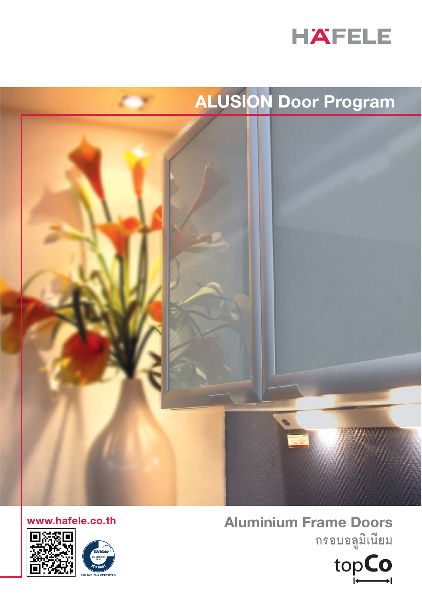

# ALUSION Door Program



www.hafele.co.th





 $2000$ 

# **Aluminium Frame Doors**

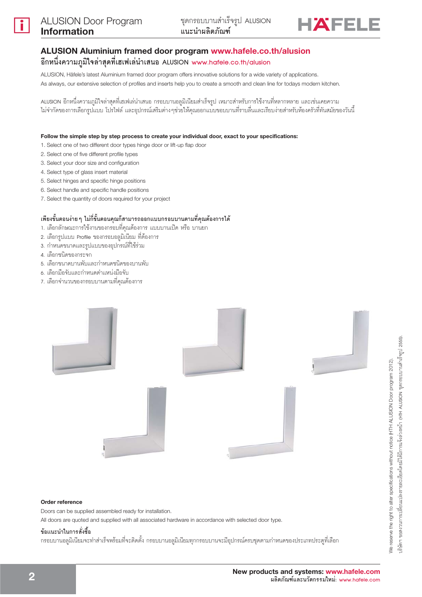

# ALUSION Aluminium framed door program www.hafele.co.th/alusion ์อีกหนึ่งความภูมิใจล่าสุดที่เฮเฟเล่นำเสนอ ALUSION www.hɑfele.co.th/ɑlusion

ALUSION, Häfele's latest Aluminium framed door program offers innovative solutions for a wide variety of applications. As always, our extensive selection of profiles and inserts help you to create a smooth and clean line for todays modern kitchen.

ALUSION อีกหนึ่งความภูมิใจล่าสุดที่เฮเฟเล่นำเสนอ กรอบบานอลูมิเนียมสำเร็จรูป เหมาะสำหรับการใช้งานที่หลากหลาย และเช่นเคยความ ไม่จำกัดของการเลือกรูปแบบ โปรไฟล์ และอุปกรณ์เสริมต่างๆช่วยให้คุณออกแบบขอบบานที่ราบลื่นและเรียบง่ายสำหรับห้องครัวที่ทันสมัยของวันนี้

### Follow the simple step by step process to create your individual door, exact to your specifications:

- 1. Select one of two different door types hinge door or lift-up flap door
- 2. Select one of five different profile types
- 3. Select your door size and configuration
- 4. Select type of glass insert material
- 5. Select hinges and specific hinge positions
- 6. Select handle and specific handle positions
- 7. Select the quantity of doors required for your project

## ้เพียงขั้นตอนง่าย ๆ ไม่กี่ขั้นตอนคุณก็สามารถออกแบบกรอบบานตามที่คุณต้องการได้

- 1. เลือกลักษณะการใช้งานของกรอบที่คุณต้องการ แบบบานเปิด หรือ บานยก
- 2. เลือกรูปแบบ Profile ของกรอบอลูมิเนียม ที่ต้องการ
- 3. กำหนดขนาดและรูปแบบของอุปกรณ์ที่ใช้ร่วม
- 4. เลือกขนิดของกระจก
- 5. เลือกขนาดบานพับและกำหนดขนิดของบานพับ
- 6. เลือกมือจับและกำหนดตำแหน่งมือจับ
- 7. เลือกจำนวนของกรอบบานตามที่คุณต้องการ



### Order reference

Doors can be supplied assembled ready for installation.

All doors are quoted and supplied with all associated hardware in accordance with selected door type.

### ข้อแนะนำในการสั่งซื้อ

กรอบบานอลูมิเนียมจะทำสำเร็จพร้อมที่จะติดตั้ง กรอบบานอลูมิเนียมทุกกรอบบานจะมีอุปกรณ์ครบชุดตามกำหนดของประเภทประตูที่เลือก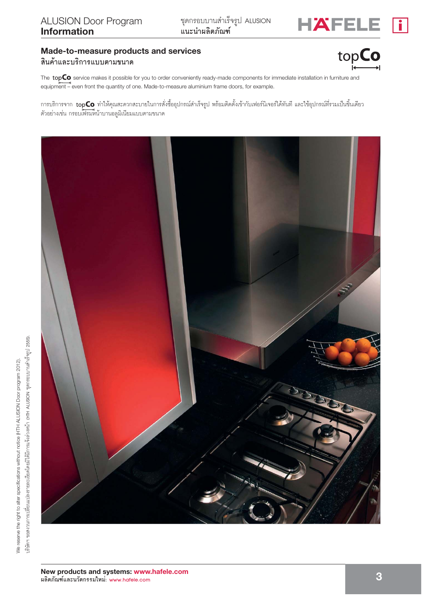

# Made-to-measure products and services

# สินค้าและบริการแบบตามขนาด



The topCo service makes it possible for you to order conveniently ready-made components for immediate installation in furniture and equipment – even front the quantity of one. Made-to-measure aluminium frame doors, for example.

การบริการจาก **topCo** ทำให้คุณสะดวกสะบายในการสั่งซื้ออุปกรณ์สำเร็จรูป พร้อมติดตั้งเข้ากับเฟอร์นิเจอร์ได้ทันที และใช้อุปกรณ์ที่รวมเป็นขึ้นเดียว ตัวอย่างเช่น กรอบเฟรมหน้าบานอลูมิเนียมแบบตามขนาด

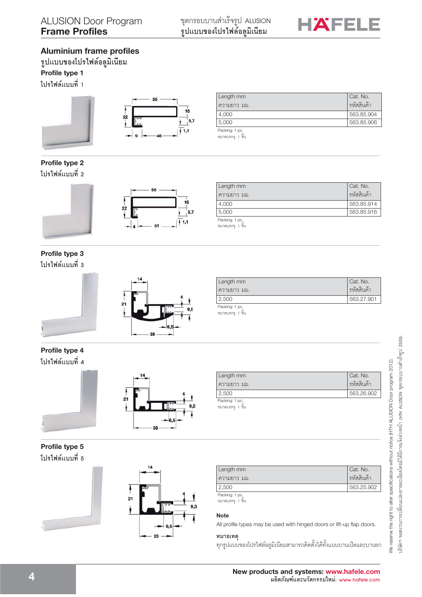

# **Aluminium frame profiles**

 $\boldsymbol{\mathfrak{z}}$ ปแบบของโปรไฟล์อลูมิเนียม **Profile type 1**

**ĥơ§q·Ê**





| 5.000       | 563.85.906 |
|-------------|------------|
| 4.000       | 563.85.904 |
| ความยาว มม. | รหัสสินค้า |
| Length mm   | Cat. No.   |

Packing: 1 pc.<br>ขนาดบรรจุ: 1 ขึ้น

# **Profile type 2 ĥơ§q·Ê**





| Length mm                           | Cat. No.   |
|-------------------------------------|------------|
| ความยาว มม.                         | รหัสสินค้า |
| 4,000                               | 563.85.914 |
| 5,000                               | 563.85.916 |
| Packing: 1 pc.<br>ขนาดบรรจุ: 1 ขึ้น |            |
|                                     |            |

**Profile type 3 ĥơ§q·Ê**



| Length mm        | Cat. No.      |
|------------------|---------------|
| ความยาว มม.      | ี่ รหัสสินค้า |
| $^{\circ}$ 2,500 | 563.27.901    |
|                  |               |

Packing: 1 pc.<br>ขนาดบรรจุ: 1 ขึ้น

# **Profile type 4 ĥơ§q·Ê**





### Length mm ความยาว มม. Cat. No. รหัสสินค้า 2,500 563.26.902

Packing: 1 pc.<br>ขนาดบรรจุ: 1 ขึ้น

# **Profile type 5** โปรไฟล์แบบที่ 5





| Length mm     | Cat. No.   |
|---------------|------------|
| - ความยาว มม. | รหัสสินค้า |
| 2,500         | 563.25.902 |
| Packing: 1 no |            |

Packing: 1 pc.<br>ขนาดบรรจุ: 1 ขึ้น

# **Note**

All profile types may be used with hinged doors or lift-up flap doors.

**หมายเหตุ**<br>ทุกรูปแบบของโปรไฟล์อลูมิเนียมสามารถติดตั้งได้ทั้งแบบบานเปิดและบานยก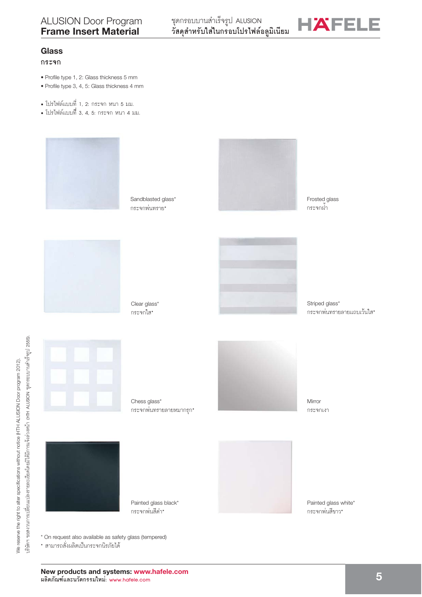

# **Glass**

### กระจก

- · Profile type 1, 2: Glass thickness 5 mm
- · Profile type 3, 4, 5: Glass thickness 4 mm
- โปรไฟล์แบบที่ 1, 2: กระจก หนา 5 มม.
- โปรไฟล์แบบที่ 3, 4, 5: กระจก หนา 4 มม.



Sandblasted glass\* กระจกพ่นทราย\*

Clear glass\*

กระจกใส\*



Frosted glass กระจกผ้า





Striped glass\* กระจกพ่นทรายลายแถบเว้นใส\*



Chess glass\* ิกระจกพ่นทรายลายหมากรก\*



Mirror กระจกเงา



\* สามารถสั่งผลิตเป็นกระจกนิรภัยได้

Painted glass black\* กระจกพ่นสีดำ\*

Painted glass white\* กระจกพ่นสีขาว\*

\* On request also available as safety glass (tempered)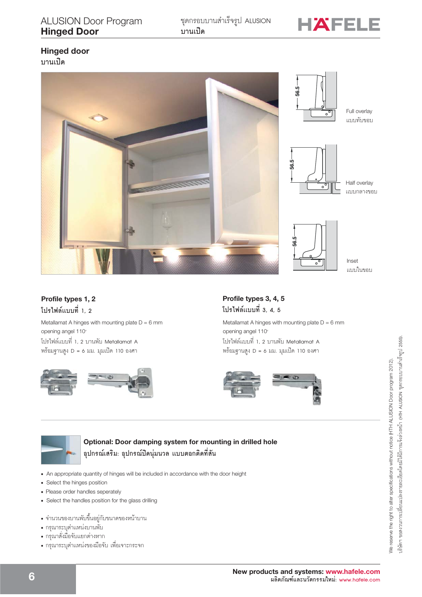

# **Hinged door**

บานเปิด



 $11111$ ||119191

# Profile types 1, 2 โปรไฟล์แบบที่ 1. 2

Metallamat A hinges with mounting plate  $D = 6$  mm opening angel 110° โปรไฟล์แบบที่ 1, 2 บานพับ Metallamat A พร้อมฐานสูง D = 6 มม. มุมเปิด 110 องศา



# Profile types 3, 4, 5 โปรไฟล์แบบที่ 3, 4, 5

Metallamat A hinges with mounting plate  $D = 6$  mm opening angel 110° โปรไฟล์แบบที่ 1, 2 บานพับ Metallamat A พร้อมฐานสูง D = 6 มม. มุมเปิด 110 องศา





Optional: Door damping system for mounting in drilled hole ้อุปกรณ์เสริม: อุปกรณ์ปิดนุ่มนวล แบบตอกติดที่สัน

- An appropriate quantity of hinges will be included in accordance with the door height
- Select the hinges position
- Please order handles seperately
- Select the handles position for the glass drilling
- จำนวนของบานพับขึ้นอยู่กับขนาดของหน้าบาน
- กรุณาระบุตำแหน่งบานพับ
- กรุณาสั่งมือจับแยกต่างหาก
- กรุณาระบุตำแหน่งของมือจับ เพื่อเจาะกระจก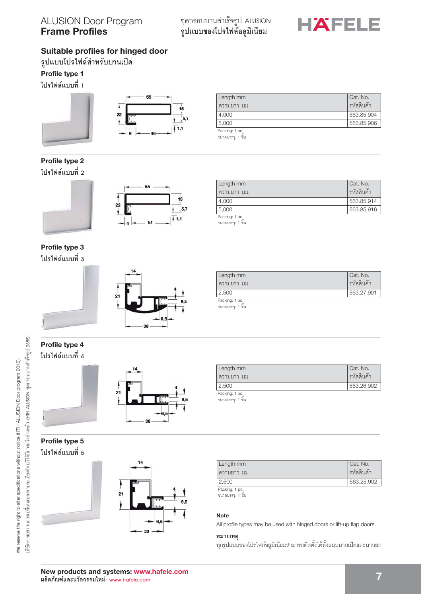

# **Suitable profiles for hinged door**

 $\frac{1}{3}$ ปแบบโปรไฟล์สำหรับบานเปิด

# **Profile type 1**

**ĥơ§q·Ê**





| Length mm   | Cat. No.   |
|-------------|------------|
| ความยาว มม. | รหัสสินค้า |
| 4.000       | 563.85.904 |
| 5,000       | 563.85.906 |

Packing: 1 pc. ขนาดบรรจุ: 1 ขึ้น

# **Profile type 2 ĥơ§q·Ê**





#### Packing: 1 pc Length mm ความยาว มม. Cat. No. รหัสสินค้า 4,000 563.85.914 5,000 563.85.916

ขนาดบรรจุ: 1 ขึ้น

# **Profile type 3 ĥơ§q·Ê**



| Length mm    | Cat. No.     |
|--------------|--------------|
| เความยาว มม. | ่ รหัสสินค้า |
| 2,500        | 563.27.901   |
| Dooking 1 no |              |

king: 1 p ขนาดบรรจุ: 1 ขึ้น

Packing: 1 pc.<br>ขนาดบรรจุ: 1 ขึ้น

Length mm ความยาว มม.

# **Profile type 4 ĥơ§q·Ê**





# **Profile type 5 ĥơ§q·Ê**



| Length mm     | Cat. No.    |
|---------------|-------------|
| ์ ความยาว มม. | ิรหัสสินค้า |
| 12,500        | 563.25.902  |
|               |             |

2,500 563.26.902

Packing: 1 pc. ขนาดบรรจุ: 1 ขึ้น

### **Note**

All profile types may be used with hinged doors or lift-up flap doors.

**หมายเหตุ**<br>ทุกรูปแบบของโปรไฟล์อลูมิเนียมสามารถติดตั้งได้ทั้งแบบบานเปิดและบานยก

Cat. No. รหัสสินค้า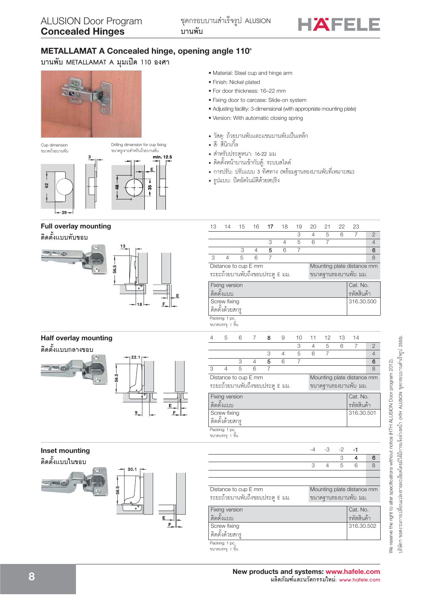

# METALLAMAT A Concealed hinge, opening angle 110°

Drilling dimension for cup fixing

บานพับ METALLAMAT A มุมเปิด 110 องศา



#### Cup dimension ขนาดถ้วยบานพับ



# **Full overlay mounting**

ดิดตั้งแบบทับขอบ



# **Half overlay mounting**

ติดตั้งแบบกลางขอบ



# **Inset mounting**



| • Material: Steel cup and hinge arm |  |  |  |
|-------------------------------------|--|--|--|

- · Finish: Nickel plated
- · For door thickness: 16-22 mm
- · Fixing door to carcase: Slide-on system
- Adjusting facility: 3-dimensional (with appropriate mounting plate)
- · Version: With automatic closing spring
- วัสดุ: ถ้วยบานพับและแขนบานพับเป็นเหล็ก
- สี: สี่นิกเกิ้ล
- สำหรับประตูหนา: 16-22 มม
- ติดตั้งหน้าบานเข้ากับตู้: ระบบสไลด์
- การปรับ: ปรับแบบ 3 ทิศทาง (พร้อมฐานรองบานพับที่เหมาะสม)
- รูปแบบ: ปิดอัตโนมัติด้วยสปริง

| 13                                                 | 14                                  | 15 | 16             | 17             | 18             | 19             | 20   | 21             | 22 | 23                         |                |
|----------------------------------------------------|-------------------------------------|----|----------------|----------------|----------------|----------------|------|----------------|----|----------------------------|----------------|
|                                                    |                                     |    |                |                |                | 3              | 4    | 5              | 6  | $\overline{7}$             | $\overline{2}$ |
|                                                    |                                     |    |                | 3              | 4              | 5              | 6    | $\overline{7}$ |    |                            | $\overline{4}$ |
|                                                    |                                     | 3  | $\overline{4}$ | 5              | 6              | $\overline{7}$ |      |                |    |                            | 6              |
| 3                                                  | 4                                   | 5  | 6              | $\overline{7}$ |                |                |      |                |    |                            | 8              |
| Distance to cup E mm<br>Mounting plate distance mm |                                     |    |                |                |                |                |      |                |    |                            |                |
|                                                    | ระยะถ้วยบานพับถึงขอบประตู E มม.     |    |                |                |                |                |      |                |    | ขนาดฐานรองบานพับ มม.       |                |
|                                                    | <b>Fixing version</b>               |    |                |                |                |                |      |                |    | Cat. No.                   |                |
|                                                    | ติดตั้งแบบ                          |    |                |                |                |                |      |                |    | รหัสสินค้า                 |                |
|                                                    | Screw fixing                        |    |                |                |                |                |      |                |    | 316.30.500                 |                |
|                                                    | ติดตั้งด้วยสกรู                     |    |                |                |                |                |      |                |    |                            |                |
|                                                    | Packing: 1 pc.<br>ขนาดบรรจุ: 1 ขึ้น |    |                |                |                |                |      |                |    |                            |                |
| $\overline{4}$                                     | 5                                   | 6  | $\overline{7}$ | 8              | 9              | 10             | 11   | 12             | 13 | 14                         |                |
|                                                    |                                     |    |                |                |                | 3              | 4    | 5              | 6  | $\overline{7}$             | $\overline{2}$ |
|                                                    |                                     |    |                | 3              | $\overline{4}$ | 5              | 6    | $\overline{7}$ |    |                            | $\overline{4}$ |
|                                                    |                                     | 3  | 4              | 5              | 6              | 7              |      |                |    |                            | 6              |
| 3                                                  | $\overline{4}$                      | 5  | 6              | $\overline{7}$ |                |                |      |                |    |                            | 8              |
|                                                    | Distance to cup E mm                |    |                |                |                |                |      |                |    | Mounting plate distance mm |                |
|                                                    | ระยะถ้วยบานพับถึงขอบประตู E มม.     |    |                |                |                |                |      |                |    | ขนาดฐานรองบานพับ มม.       |                |
|                                                    | Fixing version                      |    |                |                |                |                |      |                |    | Cat. No.                   |                |
|                                                    | ติดตั้งแบบ                          |    |                |                |                |                |      |                |    | รหัสสินค้า                 |                |
|                                                    | Screw fixing                        |    |                |                |                |                |      |                |    | 316.30.501                 |                |
|                                                    | ดิดตั้งด้วยสกรู                     |    |                |                |                |                |      |                |    |                            |                |
|                                                    | Packing: 1 pc.<br>ขนาดบรรจุ: 1 ขึ้น |    |                |                |                |                |      |                |    |                            |                |
|                                                    |                                     |    |                |                |                |                | $-4$ | -3             | -2 | -1                         |                |

|                                 |   |   | 3 | 4                          | 6 |
|---------------------------------|---|---|---|----------------------------|---|
|                                 | 3 | 4 | 5 | 6                          | 8 |
|                                 |   |   |   |                            |   |
|                                 |   |   |   |                            |   |
| Distance to cup E mm            |   |   |   | Mounting plate distance mm |   |
| ระยะถ้วยบานพับถึงขอบประตู E มม. |   |   |   | ขนาดฐานรองบานพับ มม.       |   |
| <b>Fixing version</b>           |   |   |   | Cat. No.                   |   |
| ดิดตั้งแบบ                      |   |   |   | รหัสสินค้า                 |   |
| Screw fixing                    |   |   |   | 316.30.502                 |   |
| ดิดตั้งด้วยสกร                  |   |   |   |                            |   |
| Packing: 1 pc.                  |   |   |   |                            |   |
| ขนาดบรรจ: 1 ขึ้น                |   |   |   |                            |   |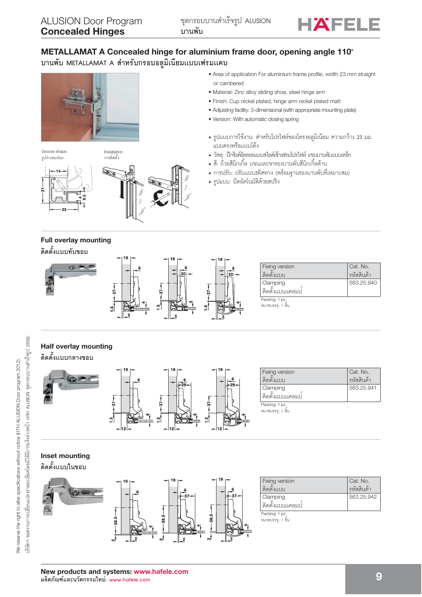

# METALLAMAT A Concealed hinge for aluminium frame door, opening angle 110° บานพับ METALLAMAT A สำหรับกรอบอลูมิเนียมแบบเฟรมแคบ



Groove shape รูปร่างของร่อง

Installation การติดตั้ง





# • Area of application For aluminium frame profile, width 23 mm straight or cambered

- · Material: Zinc alloy sliding shoe, steel hinge arm
- · Finish: Cup nickel plated, hinge arm nickel plated matt
- Adjusting facility: 3-dimensional (with appropriate mounting plate)
- · Version: With automatic closing spring
- รูปแบบการใช้งาน: สำหรับโปรไฟล์ของโครงอลูมิเนียม ความกว้าง 23 มม. แบบตรงหรือแบบโค้ง
- วัสดุ: ปีกซิงค์อัลลอยแบบสไลด์เข้าเฟรมโปรไฟล์ แขนบานพับแบบเหล็ก
- สี: ถั่วยสีนิกเกิ้ล แขนและขารองบานพับสีนิกเกิ้ลด้าน
- การปรับ: ปรับแบบ3ทิศทาง (พร้อมจานรองบานพับที่เหมาะสม)
- รูปแบบ: ปิดอัตโนมัติด้วยสปริง

# **Full overlay mounting** ดิดตั้งแบบทับขอบ



# **Half overlay mounting** ดิดตั้งแบบกลางขอบ



| Fixing version<br>ติดตั้งแบบ | Cat. No.<br>รหัสสินค้า |
|------------------------------|------------------------|
| Clamping<br>ติดตั้งแบบแคลมป  | 563.25.941             |
| Packing: 1 pc.<br>ขนาดบรรจ:  |                        |

Cat. No.

รหัสสินค้า

563,25,940

# **Inset mounting**

ดิดตั้งแบบในขอบ



| Fixing version               | Cat. No.   |
|------------------------------|------------|
| 000311111                    | รหัสสินค้า |
| Clamping<br>์ติดตั้งแบบแคลมป | 563.25.942 |
| Packing: 1 pc.               |            |

ขนาดบรรจุ: 1 ขึ้น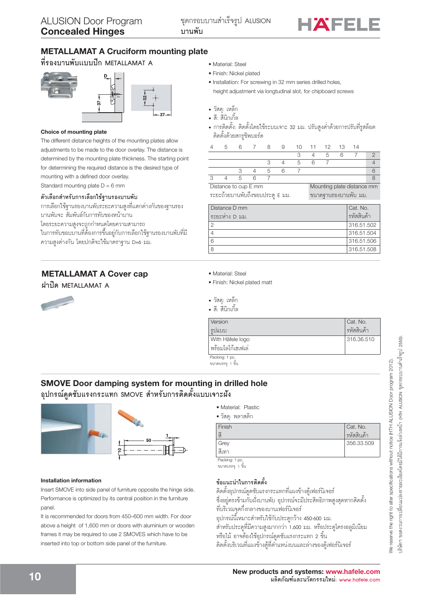

# **METALLAMAT A Cruciform mounting plate**

ที่รองบานพับแบบปีก METALLAMAT A



### Choice of mounting plate

The different distance heights of the mounting plates allow adjustments to be made to the door overlay. The distance is determined by the mounting plate thickness. The starting point for determining the required distance is the desired type of mounting with a defined door overlay. Standard mounting plate  $D = 6$  mm

### ตัวเลือกสำหรับการเลือกใช้รุานรองบานพับ

การเลือกใช้ฐานรองบานพับระยะความสูงที่แตกต่างกันของฐานรอง บานพับจะ สัมพันธ์กับการทับของหน้าบาน โดยระยะความสูงจะถูกกำหนดโดยความสามารถ ในการทับขอบบ<sup>้</sup>านที่ต้องการขึ้นอยู่กับการเลือกใช้ฐานรองบานพับที่มี ความสูงต่างกัน โดยปกติจะใช้มาตราฐาน D=6 มม.

# **METALLAMAT A Cover cap**

ฝาปิด METALLAMAT A



- · Material: Steel
- · Finish: Nickel plated
- · Installation: For screwing in 32 mm series drilled holes, height adjustment via longtudinal slot, for chipboard screws
- วัสดุ: เหล็ก
- สี: สีนิกเกิ้ล
- การติดตั้ง: ติดตั้งโดยใช้ระบบเจาะ 32 มม. ปรับสูงต่ำด้วยการปรับที่รูสล็อต ติดตั้งด้วยสกรูขิพบอร์ด

|  |         |         | 5 6 7 8 9 10 11 12 13 14 |  |           |  |
|--|---------|---------|--------------------------|--|-----------|--|
|  |         |         |                          |  | 3 4 5 6 7 |  |
|  |         |         | 3 4 5 6 7                |  |           |  |
|  |         | 3 4 5 6 |                          |  |           |  |
|  | 4 5 6 7 |         |                          |  |           |  |

Distance to cup E mm ระยะถ้วยบานพับถึงขอบประตู E มม.

Mounting plate distance mm ุขนาดจำนรองบานพับ มม.

| Distance D mm<br>ระยะห่าง D มม. | Cat. No.<br>รหัสสินค้า |
|---------------------------------|------------------------|
|                                 | 316.51.502             |
|                                 | 316.51.504             |
|                                 | 316.51.506             |
|                                 | 316.51.508             |

- · Material: Steel
- · Finish: Nickel plated matt
- วัสด: เหล็ก
- สี: สี่นิกเกิ้ล

| Version            | Cat. No.   |
|--------------------|------------|
| รูปแบบ             | รหัสสินค้า |
| With Häfele logo   | 316.36.510 |
| ่พร้อมโลโก้เฮเฟเล่ |            |
| Packing: 1 pc.     |            |
| ขนาดบรรจ: 1 ขึ้น   |            |

# **SMOVE Door damping system for mounting in drilled hole** อุปกรณ์ดูดซับแรงกระแทก SMOVE สำหรับการติดตั้งแบบเจาะฝัง

### **Installation information**

Insert SMOVE into side panel of furniture opposite the hinge side. Performance is optimized by its central position in the furniture panel.

It is recommended for doors from 450-600 mm width. For door above a height of 1,600 mm or doors with aluminium or wooden frames it may be required to use 2 SMOVES which have to be inserted into top or bottom side panel of the furniture.

- · Material: Plastic
- วัสด: พลาสติก

| Finish        | Cat. No.   |
|---------------|------------|
| $\tilde{2}$   | รหัสสินค้า |
| Grey          | 356.33.509 |
| สีเทา         |            |
| Pecking: 1 no |            |

ขนาดบรรจุ: 1 ขึ้น

### ข้อแนะนำในการติดตั้ง

์ ติดตั้งอุปกรณ์ดูดซับแรงกระแทกที่แผงข้างตู้เฟอร์นิเจอร์ ซึ่งอยู่ตรงข้ามกับผั่งบานพับ อุปกรณ์จะมีประสิทธิภาพสูงสุดหากติดตั้ง ที่บริเวณจุดกึ่งกลางของบานเฟอร์นิเจอร์ ้อุปกรณ์นี้เหมาะสำหรับใช้กับประตูกว้าง 450-600 มม.

้สำหรับประตูที่มีความสูงมากกว่า 1,600 มม. หรือประตูโครงอลูมิเนียม

หรือไม้ อาจต้องใช้อุปกรณ์ดูดซับแรงกระแทก 2 ขึ้น ์ ติดตั้งบริเวณที่แผงข้างตู้ที่ตำแหน่งบนและล่างของตู้เฟอร์นิเจอร์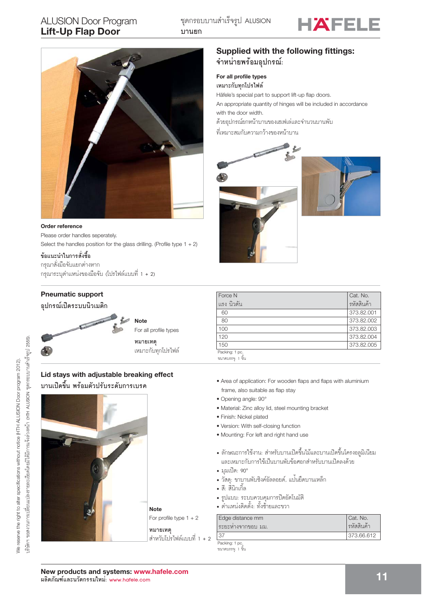# **ALUSION Door Program Lift-Up Flap Door**





### Order reference Please order handles seperately.

Select the handles position for the glass drilling. (Profile type  $1 + 2$ )

ข้อแนะนำในการสั่งซื้อ

กรุณาสั่งมือจับแยกต่างหาก กรุณาระบุตำแหน่งของมือจับ (โปรไฟล์แบบที่ 1 + 2)

# Supplied with the following fittings: จำหน่ายพร้อมอุปกรณ์:

### For all profile types เหมาะกับทกโปรไฟล์

Häfele's special part to support lift-up flap doors.

An appropriate quantity of hinges will be included in accordance with the door width.

ด้วยอุปกรณ์ยกหน้าบานของเฮเฟเล่และจำนวนบานพับ

ที่เหมาะสมกับความกว้างของหน้าบาน





| Force N        | Cat. No.   |
|----------------|------------|
| แรง นิวตัน     | รหัสสินค้า |
| 60             | 373.82.001 |
| 80             | 373,82,002 |
| 100            | 373.82.003 |
| 120            | 373.82.004 |
| 150            | 373,82,005 |
| Packing: 1 pc. |            |

ขนาดบรรจุ: 1 ซึ้น

- Area of application: For wooden flaps and flaps with aluminium frame, also suitable as flap stay
- · Opening angle: 90°
- · Material: Zinc alloy lid, steel mounting bracket
- · Finish: Nickel plated
- Version: With self-closing function
- Mounting: For left and right hand use
- ลักษณะการใช้งาน: สำหรับบานเปิดขึ้นไม้และบานเปิดขึ้นโครงอลูมิเนียม และเหมาะกับการใช้เป็นบานพับข้อศอกสำหรับบานเปิดลงด้วย
- มมเปิด: 90°
- วัสดุ: ขาบานพับซิงค์อัลลอยด์, แป<sup>้</sup>นยึดบานเหล็ก
- สี: สีนิกเกิ้ล
- รูปแบบ: ระบบควบคุมการปิดอัตโนมัติ<br>• ตำแหน่งติดตั้ง: ทั้งซ้ายและขวา
- 

| Edge distance mm<br>ระยะหางจากขอบ มม. | Cat. No.<br>รหัสสินค้า |
|---------------------------------------|------------------------|
|                                       | 373.66.612             |
| Packing: 1 pc.                        |                        |

ขนาดบรรจุ: 1 ขึ้น

# อุปกรณ์เปิดระบบนิวเมติก

**Pneumatic support** 

đ.



หมายเหตุ เหมาะกับทุกโปรไฟล์

# Lid stays with adjustable breaking effect บานเปิดขึ้น พร้อมตัวปรับระดับการเบรค



**Note** 

For profile type  $1 + 2$ 

หมายเหต ้สำหวับโปรไฟล์แบบที่ 1 + 2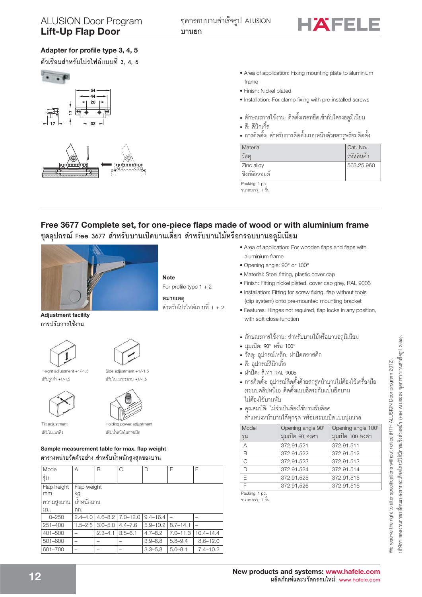

# Adapter for profile type 3, 4, 5

้ตัวเชื่อมสำหรับโปรไฟล์แบบที่ 3. 4. 5



### • Area of application: Fixing mounting plate to aluminium frame

- · Finish: Nickel plated
- · Installation: For clamp fixing with pre-installed screws
- ลักษณะการใช้งาน: ติดตั้งเพลทยึดเข้ากับโครงอลมิเนียม
- สี: สีนิกเกิ้ล
- การติดตั้ง: สำหรับการติดตั้งแบบหนีบด้วยสกรูพร้อมติดตั้ง

| Material          | Cat. No.   |
|-------------------|------------|
| วัสด              | รหัสสินค้า |
| <b>Zinc</b> alloy | 563.25.960 |
| ชิงค์อัลลอยด์     |            |
| Packing: 1 pc.    |            |

ขนาดบรรจุ: 1 ขึ้น

# Free 3677 Complete set, for one-piece flaps made of wood or with aluminium frame ชุดอุปกรณ์ Free 3677 สำหรับบานเปิดบานเดี่ยว สำหรับบานไม้หรือกรอบบานอลูมิเนียม



**Note** For profile type  $1 + 2$ 

หมายเหต ้สำหวับโปรไฟล์แบบที่ 1 + 2

**Adjustment facility** การปรับการใช้งาน





Side adiustment +1/-1.5

 $\frac{1}{2}$ 

Height adjustment +1/-1.5 ปรับสูงต่ำ +1/-1.5





Tilt adjustment ปรับในแนวดิ่ง

Holding power adjustment ปรับน้ำหนักในการเปิด

## Sample measurement table for max. flap weight ิตารางหน่วยวัดตัวอย่าง สำหรับน้ำหนักสูงสุดของบาน

| Model                          | A                                     | B           | C                          | D            | Е            | F             |
|--------------------------------|---------------------------------------|-------------|----------------------------|--------------|--------------|---------------|
| ร์น                            |                                       |             |                            |              |              |               |
| Flap height<br>mm<br>ความสงบาน | Flap weight<br>kg<br><u>นำหนักบาน</u> |             |                            |              |              |               |
| มม.                            | กก.                                   |             |                            |              |              |               |
| $0 - 250$                      | $2.4 - 4.0$                           |             | $4.6 - 8.2$   $7.0 - 12.0$ | $9.4 - 16.4$ |              |               |
| $251 - 400$                    | $1.5 - 2.5$                           | $3.0 - 5.0$ | $4.4 - 7.6$                | $5.9 - 10.2$ | $8.7 - 14.1$ |               |
| 401-500                        |                                       | $2.3 - 4.1$ | $3.5 - 6.1$                | $4.7 - 8.2$  | $7.0 - 11.3$ | $10.4 - 14.4$ |
| $501 - 600$                    |                                       |             |                            | $3.9 - 6.8$  | $5.8 - 9.4$  | $8.6 - 12.0$  |
| 601-700                        |                                       |             |                            | $3.3 - 5.8$  | $5.0 - 8.1$  | $7.4 - 10.2$  |

- Area of application: For wooden flaps and flaps with aluminium frame
- · Opening angle: 90° or 100°
- · Material: Steel fitting, plastic cover cap
- · Finish: Fitting nickel plated, cover cap grey, RAL 9006
- · Installation: Fitting for screw fixing, flap without tools (clip system) onto pre-mounted mounting bracket
- · Features: Hinges not required, flap locks in any position, with soft close function
- ลักษณะการใช้งาน: สำหรับบานไม้หรือบานอลูมิเนียม
- มมเปิด: 90° หรือ 100°
- วัสด: อปกรณ์เหล็ก, ฝาปิดพลาสติก
- สี: อุปกรณ์สีนิกเกิ้ล
- ฝาปิด: สีเทา RAL 9006
- การติดตั้ง: อุปกรณ์ติดตั้งด้วยสกรูหน้าบานไม่ต้องใช้เครื่องมือ (ระบบคลิปหนีบ) ติดตั้งแบบอิสระกับแป<sup>้</sup>นยึดบาน ไม่ต้องใช้บานพับ
- คณสมบัติ: ไม่จำเป็นต้องใช้บานพับล็อค

้ต่ำแหน่งหน้าบานได้ทุกจุด พร้อมระบบปิดแบบนุ่มนวล

| Model | Opening angle 90° | Opening angle 100° |
|-------|-------------------|--------------------|
| ร่น   | มมเปิด 90 องศา    | มมเปิด 100 องศา    |
| A     | 372.91.521        | 372.91.511         |
| B     | 372.91.522        | 372.91.512         |
| C.    | 372.91.523        | 372.91.513         |
| D     | 372.91.524        | 372.91.514         |
| F.    | 372.91.525        | 372.91.515         |
|       | 372.91.526        | 372.91.516         |

Packing: 1 pc.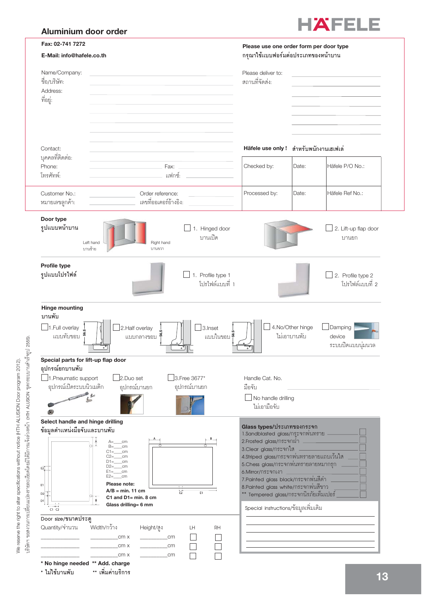# Aluminium door order



| Fax: 02-741 7272                                                                                                   |                                                                                                                                                                                                                                                                                                                        | Please use one order form per door type                                                                                                                                                                                                                                                                                                                                                         |                                  |                                        |
|--------------------------------------------------------------------------------------------------------------------|------------------------------------------------------------------------------------------------------------------------------------------------------------------------------------------------------------------------------------------------------------------------------------------------------------------------|-------------------------------------------------------------------------------------------------------------------------------------------------------------------------------------------------------------------------------------------------------------------------------------------------------------------------------------------------------------------------------------------------|----------------------------------|----------------------------------------|
| E-Mail: info@hafele.co.th                                                                                          |                                                                                                                                                                                                                                                                                                                        | กรุณาใช้แบบฟอร์มต่อประเภทของหน้าบาน                                                                                                                                                                                                                                                                                                                                                             |                                  |                                        |
| Name/Company:<br>ขื่อ/บริษัท:<br>Address:<br>ที่อยู่:                                                              |                                                                                                                                                                                                                                                                                                                        | Please deliver to:<br>สถานที่จัดส่ง:                                                                                                                                                                                                                                                                                                                                                            |                                  |                                        |
| Contact:<br>บุคคลที่ติดต่อ:<br>Phone:<br>โทรศัทพ์:                                                                 | Fax:<br>แฟกซ์:                                                                                                                                                                                                                                                                                                         | Häfele use only!<br>Checked by:                                                                                                                                                                                                                                                                                                                                                                 | สำหรับพนักงานเฮเฟเล่<br>Date:    | Häfele P/O No.:                        |
| Customer No.:<br>หมายเลขลูกค้า:                                                                                    | Order reference:<br>เลขที่ออเดอร์อ้างอิง:                                                                                                                                                                                                                                                                              | Processed by:                                                                                                                                                                                                                                                                                                                                                                                   | Date:                            | Häfele Ref No.:                        |
| Door type<br>รูปแบบหน้าบาน                                                                                         | 1. Hinged door<br>บานเปิด<br>Right hand<br>Left hand<br>บานซ้าย<br>บานขวา                                                                                                                                                                                                                                              |                                                                                                                                                                                                                                                                                                                                                                                                 |                                  | 2. Lift-up flap door<br>บานยก          |
| Profile type<br>รูปแบบโปรไฟล์                                                                                      | 1. Profile type 1<br>โปรไฟล์แบบที่ 1                                                                                                                                                                                                                                                                                   |                                                                                                                                                                                                                                                                                                                                                                                                 |                                  | 2. Profile type 2<br>โปรไฟล์แบบที่ 2   |
| <b>Hinge mounting</b><br>บานพับ<br>1.Full overlay<br>แบบทับขอบ                                                     | 2. Half overlay<br>3. Inset<br>แบบในขอบ <sup>ซู</sup> ่<br>แบบกลางขอบ<br>$\circ^{\circ}$                                                                                                                                                                                                                               |                                                                                                                                                                                                                                                                                                                                                                                                 | 4.No/Other hinge<br>ไม่เอาบานพับ | Damping<br>device<br>ระบบปิดแบบนุ่มนวล |
| Special parts for lift-up flap door<br>อปกรณ์ยกบานพับ<br>1. Pneumatic support<br>อุปกรณ์เปิดระบบนิวเมติก           | 3.Free 3677*<br>2.Duo set<br>อุปกรณ์บานยก<br>อุปกรณ์บานยก                                                                                                                                                                                                                                                              | Handle Cat. No.<br>มือจับ<br>$\Box$ No handle drilling<br>ไม่เอามือจับ                                                                                                                                                                                                                                                                                                                          |                                  |                                        |
| Select handle and hinge drilling<br>ข้อมูลตำแหน่งมือจับและบานพับ<br>E2]<br>E1<br>D2<br>D <sub>1</sub><br>$CT$ $C2$ | $A = \_ cm$<br>$B = \_ cm$<br>$C1 = \_ cm$<br>$C2 = \nemph{cm}$<br>$D1 = \underline{\hspace{2cm}}$ cm<br>$D2 = \underline{\hspace{2cm}}$ cm<br>$E1 = \underline{\hspace{1cm}}$ cm<br>$E2 = \underline{\hspace{2cm}}$ cm<br>Please note:<br>$A/B = min. 11 cm$<br>E1<br>C1 and $D1 = min. 8 cm$<br>Glass drilling= 6 mm | Glass types/ประเภทของกระจก<br>1.Sandblasted glass/กระจกพ่นทราย<br>2. Frosted glass/กระจกฝา _<br>3. Clear glass/กระจกใส<br>4.Striped glass/กระจกพ่นทรายลายแถบเว้นใส<br>5.Chess glass/กระจกพ่นทรายลายหมากรุก<br>6.Mirror/กระจกเงา<br>7. Painted glass black/กระจกพ่นสีดำ<br>8.Painted glass white/กระจกพ่นสีขาว<br>** Tempered glass/กระจกนิรภัยเท็มเปอร์<br>Special instructions/ข้อมูลเพิ่มเติม |                                  |                                        |
| Door size/ขนาดประตู<br>Quantity/จำนวน<br>* No hinge needed ** Add. charge<br>* ไม่ใช้บานพับ                        | Width/กว้าง<br>Height/สูง<br>LH<br>RH<br>_cm x<br>$\overline{\phantom{a}}$ cm<br>cm x<br>$\sim$ cm<br>cm x<br>$\sim$ cm<br>** เพิ่มค่าบริการ                                                                                                                                                                           |                                                                                                                                                                                                                                                                                                                                                                                                 |                                  |                                        |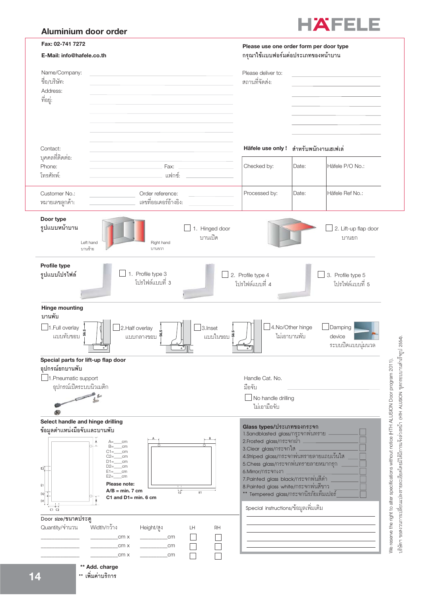# Aluminium door order



| Fax: 02-741 7272                                                 |                                                                                                                                                                                                                                                        | Please use one order form per door type                                                                                                                                                                                                                                                      |                                  |                                        |                                                                                                                                                                      |
|------------------------------------------------------------------|--------------------------------------------------------------------------------------------------------------------------------------------------------------------------------------------------------------------------------------------------------|----------------------------------------------------------------------------------------------------------------------------------------------------------------------------------------------------------------------------------------------------------------------------------------------|----------------------------------|----------------------------------------|----------------------------------------------------------------------------------------------------------------------------------------------------------------------|
| E-Mail: info@hafele.co.th                                        |                                                                                                                                                                                                                                                        | กรุณาใช้แบบฟอร์มต่อประเภทของหน้าบาน                                                                                                                                                                                                                                                          |                                  |                                        |                                                                                                                                                                      |
| Name/Company:<br>ชื่อ/บริษัท:                                    |                                                                                                                                                                                                                                                        | Please deliver to:<br>สถานที่จัดส่ง:                                                                                                                                                                                                                                                         |                                  |                                        |                                                                                                                                                                      |
| Address:<br>ที่อยู่:                                             |                                                                                                                                                                                                                                                        |                                                                                                                                                                                                                                                                                              |                                  |                                        |                                                                                                                                                                      |
|                                                                  |                                                                                                                                                                                                                                                        |                                                                                                                                                                                                                                                                                              |                                  |                                        |                                                                                                                                                                      |
| Contact:<br>บุคคลที่ติดต่อ:                                      |                                                                                                                                                                                                                                                        | Häfele use only ! สำหรับพนักงานเฮเฟเล่                                                                                                                                                                                                                                                       |                                  |                                        |                                                                                                                                                                      |
| Phone:<br>โทรศัทพ์:                                              | Fax:<br>แฟกซ์:                                                                                                                                                                                                                                         | Checked by:                                                                                                                                                                                                                                                                                  | Date:                            | Häfele P/O No.:                        |                                                                                                                                                                      |
| Customer No.:<br>หมายเลขลูกค้า:                                  | Order reference:<br>เลขที่ออเดอร์อ้างอิง:                                                                                                                                                                                                              | Processed by:                                                                                                                                                                                                                                                                                | Date:                            | Häfele Ref No.:                        |                                                                                                                                                                      |
| Door type<br>รูปแบบหน้าบาน<br>บานซ้าย                            | 1. Hinged door<br>บานเปิด<br>Right hand<br>Left hand<br>บานขวา                                                                                                                                                                                         |                                                                                                                                                                                                                                                                                              |                                  | 2. Lift-up flap door<br>บานยก          |                                                                                                                                                                      |
| Profile type<br>รูปแบบโปรไฟล์                                    | $\Box$ 1. Profile type 3<br>โปรไฟล์แบบที่ 3                                                                                                                                                                                                            | 2. Profile type 4<br>โปรไฟล์แบบที่ 4                                                                                                                                                                                                                                                         |                                  | 3. Profile type 5<br>โปรไฟล์แบบที่ 5   |                                                                                                                                                                      |
| <b>Hinge mounting</b>                                            |                                                                                                                                                                                                                                                        |                                                                                                                                                                                                                                                                                              |                                  |                                        |                                                                                                                                                                      |
| บานพับ<br>1.Full overlay<br>แบบทับขอบ                            | 2. Half overlay<br>3. Inset<br>56<br>แบบในขอบ <sup>ผ</sup> ู้<br>แบบกลางขอบ                                                                                                                                                                            |                                                                                                                                                                                                                                                                                              | 4.No/Other hinge<br>ไม่เอาบานพับ | Damping<br>device<br>ระบบปิดแบบนุ่มนวล | 191 2554).                                                                                                                                                           |
| Special parts for lift-up flap door<br>อปกรณ์ยกบานพับ            |                                                                                                                                                                                                                                                        |                                                                                                                                                                                                                                                                                              |                                  |                                        |                                                                                                                                                                      |
| 1. Pneumatic support<br>อุปกรณ์เปิดระบบนิวเมติก                  |                                                                                                                                                                                                                                                        | Handle Cat. No.<br>มือจับ                                                                                                                                                                                                                                                                    |                                  |                                        | ชุดกรอบบานสำเร็                                                                                                                                                      |
|                                                                  |                                                                                                                                                                                                                                                        | No handle drilling<br>ไม่เอามือจับ                                                                                                                                                                                                                                                           |                                  |                                        | <b>ALUSION</b>                                                                                                                                                       |
| Select handle and hinge drilling<br>ข้อมูลตำแหน่งมือจับและบานพับ | $A = \_ cm$                                                                                                                                                                                                                                            | Glass types/ประเภทของกระจก<br>1.Sandblasted glass/กระจกพ่นทราย -<br>2. Frosted glass/nระจกฝา                                                                                                                                                                                                 |                                  |                                        |                                                                                                                                                                      |
| E2]<br>E1<br>D <sub>2</sub><br>D1<br>$C1$ $C2$                   | $B = \_ cm$<br>$C1 = \_ cm$<br>$C2 = \nemph{cm}$<br>$D1 = \underline{\hspace{1cm}}$ cm<br>$D2 =$ ______cm<br>$E1 = \underline{\hspace{1cm}}$ cm<br>$E2 = \nemph{cm}$<br>Please note:<br>$A/B = min. 7 cm$<br>E <sub>1</sub><br>C1 and $D1 = min. 6 cm$ | 3.Clear glass/กระจกใส<br>4.Striped glass/กระจกพ่นทรายลายแถบเว้นใส<br>5.Chess glass/กระจกพ่นทรายลายหมากรุก<br>6.Mirror/กระจกเงา<br>7. Painted glass black/กระจกพ่นสีดำ<br>8. Painted glass white/กระจกพ่นสีขาว<br>Tempered glass/กระจกนิรภัยเท็มเปอร์<br>Special instructions/ข้อมูลเพิ่มเติม |                                  |                                        | We reserve the right to alter specifications without notice (HTH ALUSION Door program 2011).<br>บริษัทฯ ขอสงวนการเปลี่ยนแปลงรายละเอียดโดยมิได้มีการแจ้งล่วงหน้า (HTH |
| Door size/ขนาดประตู<br>Quantity/จำนวน                            | Width/กว้าง<br>Height/สูง<br>LH<br>RH<br>cm x<br>cm<br>cm x<br>$\sim$ cm<br>$\sim$ cm<br>_cm x<br>** Add. charge                                                                                                                                       |                                                                                                                                                                                                                                                                                              |                                  |                                        |                                                                                                                                                                      |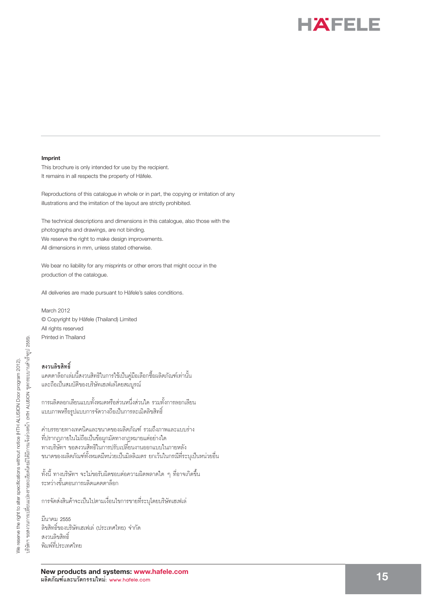

### **Imprint**

This brochure is only intended for use by the recipient. It remains in all respects the property of Häfele.

Reproductions of this catalogue in whole or in part, the copying or imitation of any illustrations and the imitation of the layout are strictly prohibited.

The technical descriptions and dimensions in this catalogue, also those with the photographs and drawings, are not binding. We reserve the right to make design improvements. All dimensions in mm, unless stated otherwise.

We bear no liability for any misprints or other errors that might occur in the production of the catalogue.

All deliveries are made pursuant to Häfele's sales conditions.

March 2012 © Copyright by Häfele (Thailand) Limited All rights reserved Printed in Thailand

**สงวนลิขสิทธิ์**<br>แคตตาล็อกเล่มนี้สงวนสิทธิในการใช้เป็นคู่มือเลือกซื้อผลิตภัณฑ์เท่านั้น และถือเป็นสมบัติของบริษัทเฮเฟเล่โดยสมบูรณ์

ำกรนลิตลอกเลียนแบบทั้งหมดหรือส่วนหนึ่งส่วนใด รวมทั้งการลอกเลียน แบบภาพหรือรูปแบบการจัดวางถือเป็นการละเมิดลิขสิทธิ์

คำบรรยายทางเทคนิคและขนาดของผลิตภัณฑ์ รวมถึงภาพและแบบร่าง<br>ที่ปรากฏภายในไม่ถือเป็นข้อผูกมัดทางกฏหมายแต่อย่างใด ทางบริษัทฯ ขอสงวนสิทธิในการปรับเปลี่ยนงานออกแบบในภายหลัง ขนาดของผลิตภัณฑ์ทั้งหมดมีหน่วยเป็นมิลลิเมตร ยกเว้นในกรณีที่ระบุเป็นหน่วยอื่ ขนาดของผลิตภัณฑ์ทั้งหมดมีหน่วยเป็นมิลลิเมตร ยกเว้นในกรณีที่ระบุเป็นหน่วยอื่น<br>ทั้งนี้ ทางบริษัทฯ จะไม่ขอรับผิดชอบต่อความผิดพลาดใด ๆ ที่อาจเกิดขึ้น

ระหว่างขั้นตอนการผลิตแคตตาล็อก

การจัดส่งสินค้าจะเป็นไปตามเงื่อนไขการขายที่ระบุโดยบริษัทเฮเฟเล่

มีนาคม 2555<br>ลิขสิทธิ์ของบริ<br>สงวนลิขสิทธิ์ ิลิขสิทธิ์ของบริษัทเฮเฟเล่ (ประเทศไทย) จำกัด พิมพ์ที่ประเทศไทย